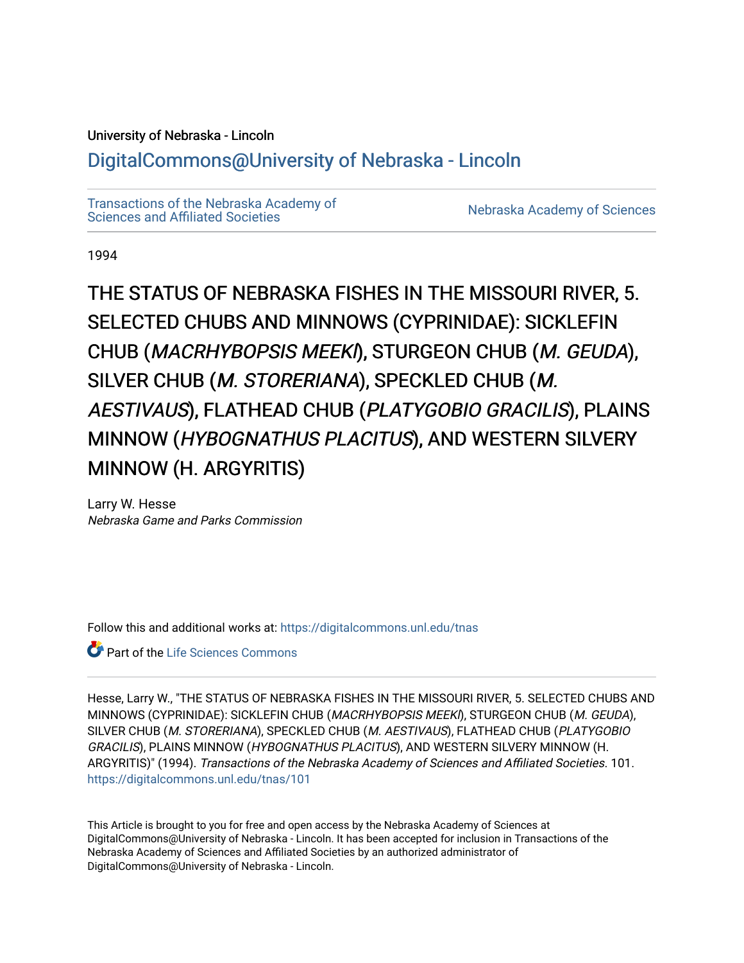# University of Nebraska - Lincoln

# [DigitalCommons@University of Nebraska - Lincoln](https://digitalcommons.unl.edu/)

[Transactions of the Nebraska Academy of](https://digitalcommons.unl.edu/tnas)  Transactions of the Nebraska Academy of Sciences<br>Sciences and Affiliated Societies

1994

THE STATUS OF NEBRASKA FISHES IN THE MISSOURI RIVER, 5. SELECTED CHUBS AND MINNOWS (CYPRINIDAE): SICKLEFIN CHUB (MACRHYBOPSIS MEEKI), STURGEON CHUB (M. GEUDA), SILVER CHUB (M. STORERIANA), SPECKLED CHUB (M. AESTIVAUS), FLATHEAD CHUB (PLATYGOBIO GRACILIS), PLAINS MINNOW (HYBOGNATHUS PLACITUS), AND WESTERN SILVERY MINNOW (H. ARGYRITIS)

Larry W. Hesse Nebraska Game and Parks Commission

Follow this and additional works at: [https://digitalcommons.unl.edu/tnas](https://digitalcommons.unl.edu/tnas?utm_source=digitalcommons.unl.edu%2Ftnas%2F101&utm_medium=PDF&utm_campaign=PDFCoverPages) 

**C** Part of the Life Sciences Commons

Hesse, Larry W., "THE STATUS OF NEBRASKA FISHES IN THE MISSOURI RIVER, 5. SELECTED CHUBS AND MINNOWS (CYPRINIDAE): SICKLEFIN CHUB (MACRHYBOPSIS MEEKI), STURGEON CHUB (M. GEUDA), SILVER CHUB (M. STORERIANA), SPECKLED CHUB (M. AESTIVAUS), FLATHEAD CHUB (PLATYGOBIO GRACILIS), PLAINS MINNOW (HYBOGNATHUS PLACITUS), AND WESTERN SILVERY MINNOW (H. ARGYRITIS)" (1994). Transactions of the Nebraska Academy of Sciences and Affiliated Societies. 101. [https://digitalcommons.unl.edu/tnas/101](https://digitalcommons.unl.edu/tnas/101?utm_source=digitalcommons.unl.edu%2Ftnas%2F101&utm_medium=PDF&utm_campaign=PDFCoverPages) 

This Article is brought to you for free and open access by the Nebraska Academy of Sciences at DigitalCommons@University of Nebraska - Lincoln. It has been accepted for inclusion in Transactions of the Nebraska Academy of Sciences and Affiliated Societies by an authorized administrator of DigitalCommons@University of Nebraska - Lincoln.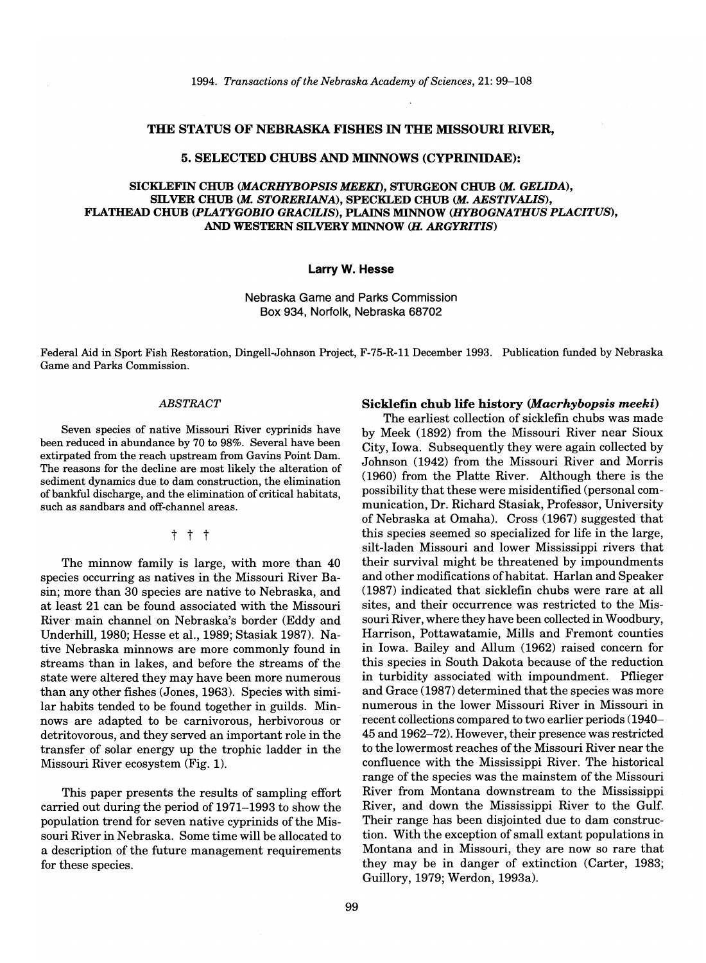#### THE STATUS OF NEBRASKA FISHES IN THE MISSOURI RIVER,

## 5. SELECTED CHUBS AND MINNOWS (CYPRINIDAE):

## SICKLEFIN CHUB *(MACRHYBOPSIS MEEKl),* STURGEON CHUB (M. *GEUDA),*  SILVER CHUB *(M. STORERIANA),* SPECKLED CHUB *(M. AESTIVAUS),*  FLATHEAD CHUB *(PLATYGOBIO GRACILIS),* PLAINS MINNOW *(HYBOGNATHUS PLACITUS),*  AND WESTERN SILVERY MINNOW (H. ARGYRITIS)

#### Larry W. Hesse

Nebraska Game and Parks Commission Box 934, Norfolk, Nebraska 68702

Federal Aid in Sport Fish Restoration, Dingell-Johnson Project, F-75-R-ll December 1993. Publication funded by Nebraska Game and Parks Commission.

#### *ABSTRACT*

Seven species of native Missouri River cyprinids have been reduced in abundance by 70 to 98%. Several have been extirpated from the reach upstream from Gavins Point Dam. The reasons for the decline are most likely the alteration of sediment dynamics due to dam construction, the elimination of bankful discharge, and the elimination of critical habitats, such as sandbars and off-channel areas.

## t t t

The minnow family is large, with more than 40 species occurring as natives in the Missouri River Basin; more than 30 species are native to Nebraska, and at least 21 can be found associated with the Missouri River main channel on Nebraska's border (Eddy and Underhill, 1980; Hesse et aI., 1989; Stasiak 1987). Native Nebraska minnows are more commonly found in streams than in lakes, and before the streams of the state were altered they may have been more numerous than any other fishes (Jones, 1963). Species with similar habits tended to be found together in guilds. Minnows are adapted to be carnivorous, herbivorous or detritovorous, and they served an important role in the transfer of solar energy up the trophic ladder in the Missouri River ecosystem (Fig. 1).

This paper presents the results of sampling effort carried out during the period of 1971-1993 to show the population trend for seven native cyprinids of the Missouri River in Nebraska. Some time will be allocated to a description of the future management requirements for these species.

# Sicklefin chub life history *(Macrhybopsis meeki)*

The earliest collection of sicklefin chubs was made by Meek (1892) from the Missouri River near Sioux City, Iowa. Subsequently they were again collected by Johnson (1942) from the Missouri Rivet and Morris (1960) from the Platte River. Although there is the possibility that these were misidentified (personal communication, Dr. Richard Stasiak, Professor, University of Nebraska at Omaha). Cross (1967) suggested that this species seemed so specialized for life in the large, silt-laden Missouri and lower Mississippi rivers that their survival might be threatened by impoundments and other modifications of habitat. Harlan and Speaker (1987) indicated that sicklefin chubs were rare at all sites, and their occurrence was restricted to the Missouri River, where they have been collected in Woodbury, Harrison, Pottawatamie, Mills and Fremont counties in Iowa. Bailey and Allum (1962) raised concern for this species in South Dakota because of the reduction in turbidity associated with impoundment. Pflieger and Grace (1987) determined that the species was more numerous in the lower Missouri River in Missouri in recent collections compared to two earlier periods (1940- 45 and 1962-72). However, their presence was restricted to the lowermost reaches of the Missouri River near the confluence with the Mississippi River. The historical range of the species was the mainstem of the Missouri River from Montana downstream to the Mississippi River, and down the Mississippi River to the Gulf. Their range has been disjointed due to dam construction. With the exception of small extant populations in Montana and in Missouri, they are now so rare that they may be in danger of extinction (Carter, 1983; Guillory, 1979; Werdon, 1993a).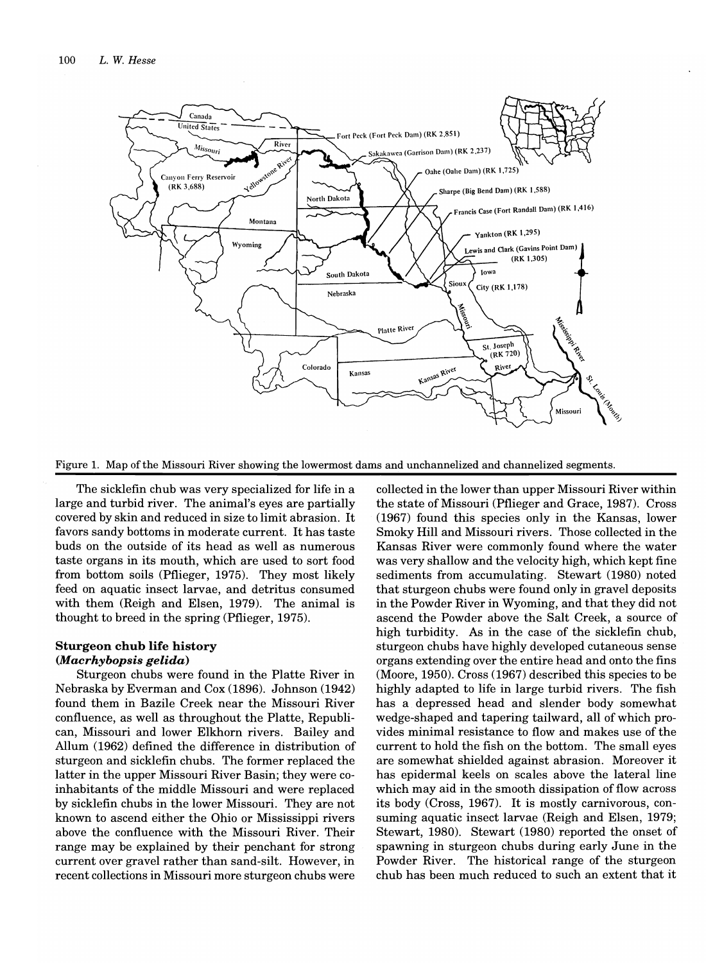

Figure 1. Map of the Missouri River showing the lowermost dams and unchannelized and channelized segments.

The sicklefin chub was very specialized for life in a large and turbid river. The animal's eyes are partially covered by skin and reduced in size to limit abrasion. It favors sandy bottoms in moderate current. It has taste buds on the outside of its head as well as numerous taste organs in its mouth, which are used to sort food from bottom soils (Pflieger, 1975). They most likely feed on aquatic insect larvae, and detritus consumed with them (Reigh and Elsen, 1979). The animal is thought to breed in the spring (Pflieger, 1975).

# **Sturgeon chub life history**  *(Macrhybopsis gelida)*

Sturgeon chubs were found in the Platte River in Nebraska by Everman and Cox (1896). Johnson (1942) found them in Bazile Creek near the Missouri River confluence, as well as throughout the Platte, Republican, Missouri and lower Elkhorn rivers. Bailey and Allum (1962) defined the difference in distribution of sturgeon and sicklefin chubs. The former replaced the latter in the upper Missouri River Basin; they were coinhabitants of the middle Missouri and were replaced by sicklefin chubs in the lower Missouri. They are not known to ascend either the Ohio or Mississippi rivers above the confluence with the Missouri River. Their range may be explained by their penchant for strong current over gravel rather than sand-silt. However, in recent collections in Missouri more sturgeon chubs were

collected in the lower than upper Missouri River within the state of Missouri (Pflieger and Grace, 1987). Cross (1967) found this species only in the Kansas, lower Smoky Hill and Missouri rivers. Those collected in the Kansas River were commonly found where the water was very shallow and the velocity high, which kept fine sediments from accumulating. Stewart (1980) noted that sturgeon chubs were found only in gravel deposits in the Powder River in Wyoming, and that they did not ascend the Powder above the Salt Creek, a source of high turbidity. As in the case of the sicklefin chub, sturgeon chubs have highly developed cutaneous sense organs extending over the entire head and onto the fins (Moore, 1950). Cross (1967) described this species to be highly adapted to life in large turbid rivers. The fish has a depressed head and slender body somewhat wedge-shaped and tapering tailward, all of which provides minimal resistance to flow and makes use of the current to hold the fish on the bottom. The small eyes are somewhat shielded against abrasion. Moreover it has epidermal keels on scales above the lateral line which may aid in the smooth dissipation of flow across its body (Cross, 1967). It is mostly carnivorous, consuming aquatic insect larvae (Reigh and Elsen, 1979; Stewart, 1980). Stewart (1980) reported the onset of spawning in sturgeon chubs during early June in the Powder River. The historical range of the sturgeon chub has been much reduced to such an extent that it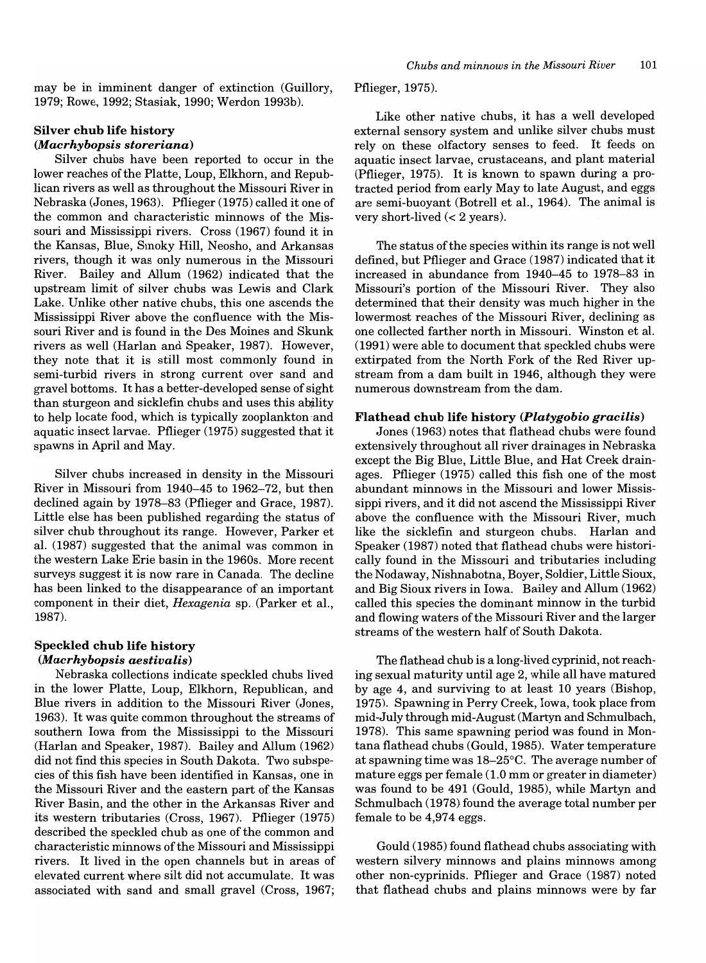may be in imminent danger of extinction (Guillory, 1979; Rowe, 1992; Stasiak, 1990; Werdon 1993b).

# Silver chub life history *(Macrhybopsis storeriana)*

Silver chubs have been reported to occur in the lower reaches of the Platte, Loup, Elkhorn, and Republican rivers as well as throughout the Missouri River in Nebraska (Jones, 1963). Pflieger (1975) called it one of the common and characteristic minnows of the Missouri and Mississippi rivers. Cross (1967) found it in the Kansas, Blue, Smoky Hill, Neosho, and Arkansas rivers, though it was only numerous in the Missouri River. Bailey and Allum (1962) indicated that the upstream limit of silver chubs was Lewis and Clark Lake. Unlike other native chubs, this one ascends the Mississippi River above the confluence with the Missouri River and is found in the Des Moines and Skunk rivers as well (Harlan and Speaker, 1987). However, they note that it is still most commonly found in semi-turbid rivers in strong current over sand and gravel bottoms. It has a better-developed sense of sight than sturgeon and sicklefin chubs and uses this ability to help locate food, which is typically zooplankton -and aquatic insect larvae. Pflieger (1975) suggested that it spawns in April and May.

Silver chubs increased in density in the Missouri River in Missouri from 1940-45 to 1962-72, but then declined again by 1978-83 (Pflieger and Grace, 1987). Little else has been published regarding the status of silver chub throughout its range. However, Parker et al. (1987) suggested that the animal was common in the western Lake Erie basin in the 1960s. More recent surveys suggest it is now rare in Canada. The decline has been linked to the disappearance of an important component in their diet, *Hexagenia* sp. (Parker et al., 1987).

# Speckled chub life history

# *(Macrhybopsis aestivalis)*

Nebraska collections indicate speckled chubs lived in the lower Platte, Loup, Elkhorn, Republican, and Blue rivers in addition to the Missouri River (Jones, 1963). It was quite common throughout the streams of southern Iowa from the Mississippi to the Missouri (Harlan and Speaker, 1987). Bailey and Allum (1962) did not find this species in South Dakota. Two subspecies of this fish have been identified in Kansas, one in the Missouri River and the eastern part of the Kansas River Basin, and the other in the Arkansas River and its western tributaries (Cross, 1967). Pflieger (1975) described the speckled chub as one of the common and characteristic minnows of the Missouri and Mississippi rivers. It lived in the open channels but in areas of elevated current where silt did not accumulate. It was associated with sand and small gravel (Cross, 1967; Pflieger, 1975).

Like other native chubs, it has a well developed external sensory system and unlike silver chubs must rely on these olfactory senses to feed. It feeds on aquatic insect larvae, crustaceans, and plant material (Pflieger, 1975). It is known to spawn during a protracted period from early May to late August, and eggs are semi-buoyant (Botrell et al., 1964). The animal is very short-lived  $(< 2$  years).

The status of the species within its range is not well defined, but Pflieger and Grace (1987) indicated that it increased in abundance from 1940-45 to 1978-83 in Missouri's portion of the Missouri River. They also determined that their density was much higher in the lowermost reaches of the Missouri River, declining as one collected farther north in Missouri. Winston et al. (1991) were able to document that speckled chubs were extirpated from the North Fork of the Red River upstream from a dam built in 1946, although they were numerous downstream from the dam.

# Flathead chub life history *(Platygobio gracilis)*

Jones (1963) notes that flathead chubs were found extensively throughout all river drainages in Nebraska except the Big Blue, Little Blue, and Hat Creek drainages. Pflieger (1975) called this fish one of the most abundant minnows in the Missouri and lower Mississippi rivers, and it did not ascend the Mississippi River above the confluence with the Missouri River, much like the sicklefin and sturgeon chubs. Harlan and Speaker (1987) noted that flathead chubs were historically found in the Missouri and tributaries including the Nodaway, Nishnabotna, Boyer, Soldier, Little Sioux, and Big Sioux rivers in Iowa. Bailey and Allum (1962) called this species the dominant minnow in the turbid and flowing waters ofthe Missouri River and the larger streams of the western half of South Dakota.

The flathead chub is a long-lived cyprinid, not reaching sexual maturity until age 2, while all have matured by age 4, and surviving to at least 10 years (Bishop, 1975). Spawning in Perry Creek, Iowa, took place from mid-July through mid-August (Martyn and Schmulbach, 1978). This same spawning period was found in Montana flathead chubs (Gould, 1985). Water temperature at spawning time was 18-25°C. The average number of mature eggs per female (1.0 mm or greater in diameter) was found to be 491 (Gould, 1985), while Martyn and Schmulbach (1978) found the average total number per female to be 4,974 eggs.

Gould (1985) found flathead chubs associating with western silvery minnows and plains minnows among other non-cyprinids. Pflieger and Grace (1987) noted that flathead chubs and plains minnows were by far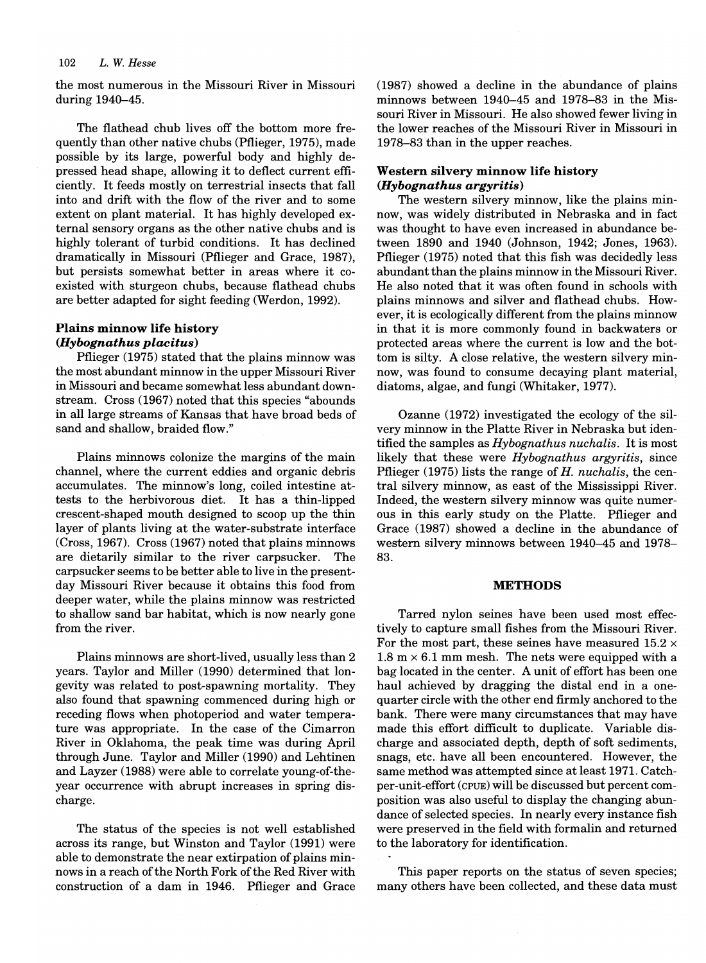# *102 L.* W. *Hesse*

the most numerous in the Missouri River in Missouri during 1940-45.

The flathead chub lives off the bottom more frequently than other native chubs (Pflieger, 1975), made possible by its large, powerful body and highly depressed head shape, allowing it to deflect current efficiently. It feeds mostly on terrestrial insects that fall into and drift with the flow of the river and to some extent on plant material. It has highly developed external sensory organs as the other native chubs and is highly tolerant of turbid conditions. It has declined dramatically in Missouri (Pflieger and Grace, 1987), but persists somewhat better in areas where it coexisted with sturgeon chubs, because flathead chubs are better adapted for sight feeding (Werdon, 1992).

# Plains minnow life history *(Hybognathus placitus)*

Pflieger (1975) stated that the plains minnow was the most abundant minnow in the upper Missouri River in Missouri and became somewhat less abundant downstream. Cross (1967) noted that this species "abounds in all large streams of Kansas that have broad beds of sand and shallow, braided flow."

Plains minnows colonize the margins of the main channel, where the current eddies and organic debris accumulates. The minnow's long, coiled intestine attests to the herbivorous diet. It has a thin-lipped crescent-shaped mouth designed to scoop up the thin layer of plants living at the water-substrate interface (Cross,1967). Cross (1967) noted that plains minnows are dietarily similar to the river carpsucker. The carpsucker seems to be better able to live in the presentday Missouri River because it obtains this food from deeper water, while the plains minnow was restricted to shallow sand bar habitat, which is now nearly gone from the river.

Plains minnows are short-lived, usually less than 2 years. Taylor and Miller (1990) determined that longevity was related to post-spawning mortality. They also found that spawning commenced during high or receding flows when photoperiod and water temperature was appropriate. In the case of the Cimarron River in Oklahoma, the peak time was during April through June. Taylor and Miller (1990) and Lehtinen and Layzer (1988) were able to correlate young-of-theyear occurrence with abrupt increases in spring discharge.

The status of the species is not well established across its range, but Winston and Taylor (1991) were able to demonstrate the near extirpation of plains minnows in a reach of the North Fork of the Red River with construction of a dam in 1946. Pflieger and Grace (1987) showed a decline in the abundance of plains minnows between 1940-45 and 1978-83 in the Missouri River in Missouri. He also showed fewer living in the lower reaches of the Missouri River in Missouri in 1978-83 than in the upper reaches.

# Western silvery minnow life history *(Hybognathus argyritis)*

The western silvery minnow, like the plains minnow, was widely distributed in Nebraska and in fact was thought to have even increased in abundance between 1890 and 1940 (Johnson, 1942; Jones, 1963). Pflieger (1975) noted that this fish was decidedly less abundant than the plains minnow in the Missouri River. He also noted that it was often found in schools with plains minnows and silver and flathead chubs. However, it is ecologically different from the plains minnow in that it is more commonly found in backwaters or protected areas where the current is low and the bottom is silty. A close relative, the western silvery minnow, was found to consume decaying plant material, diatoms, algae, and fungi (Whitaker, 1977).

Ozanne (1972) investigated the ecology of the silvery minnow in the Platte River in Nebraska but identified the samples as *Hybognathus nuchalis.* It is most likely that these were *Hybognathus argyritis,* since Pflieger (1975) lists the range of *H. nuchalis,* the central silvery minnow, as east of the Mississippi River. Indeed, the western silvery minnow was quite numerous in this early study on the Platte. Pflieger and Grace (1987) showed a decline in the abundance of western silvery minnows between 1940-45 and 1978- 83.

# **METHODS**

Tarred nylon seines have been used most effectively to capture small fishes from the Missouri River. For the most part, these seines have measured  $15.2 \times$ 1.8  $m \times 6.1$  mm mesh. The nets were equipped with a bag located in the center. A unit of effort has been one haul achieved by dragging the distal end in a onequarter circle with the other end firmly anchored to the bank. There were many circumstances that may have made this effort difficult to duplicate. Variable discharge and associated depth, depth of soft sediments, snags, etc. have all been encountered. However, the same method was attempted since at least 1971. Catchper-unit-effort (CPUE) will be discussed but percent composition was also useful to display the changing abundance of selected species. In nearly every instance fish were preserved in the field with formalin and returned to the laboratory for identification.

This paper reports on the status of seven species; many others have been collected, and these data must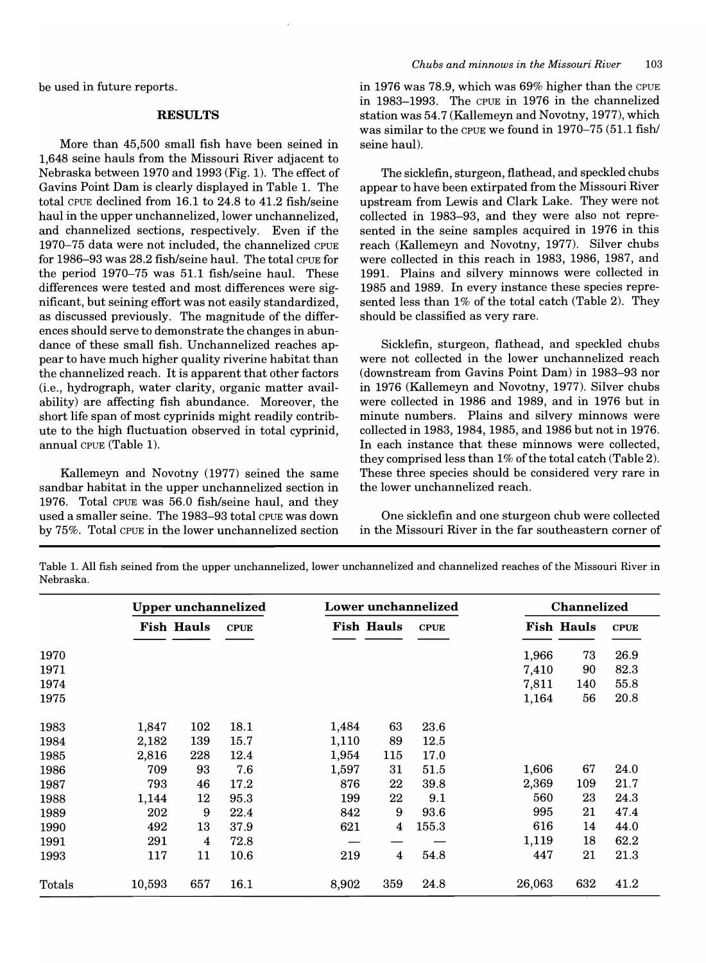be used in future reports.

#### **RESULTS**

More than 45,500 small fish have been seined in 1,648 seine hauls from the Missouri River adjacent to Nebraska between 1970 and 1993 (Fig. 1). The effect of Gavins Point Dam is clearly displayed in Table 1. The total CPUE declined from 16.1 to 24.8 to 41.2 fish/seine haul in the upper unchannelized, lower unchannelized, and channelized sections, respectively. Even if the 1970-75 data were not included, the channelized CPUE for 1986-93 was 28.2 fish/seine haul. The total CPUE for the period 1970-75 was 51.1 fish/seine haul. These differences were tested and most differences were significant, but seining effort was not easily standardized, as discussed previously. The magnitude of the differences should serve to demonstrate the changes in abundance of these small fish. Unchannelized reaches appear to have much higher quality riverine habitat than the channelized reach. It is apparent that other factors (i.e., hydrograph, water clarity, organic matter availability) are affecting fish abundance. Moreover, the short life span of most cyprinids might readily contribute to the high fluctuation observed in total cyprinid, annual CPUE (Table 1).

Kallemeyn and Novotny (1977) seined the same sandbar habitat in the upper unchannelized section in 1976. Total CPUE was 56.0 fish/seine haul, and they used a smaller seine. The 1983-93 total CPUE was down by 75%. Total CPUE in the lower unchannelized section in 1976 was 78.9, which was 69% higher than the CPUE in 1983-1993. The CPUE in 1976 in the channelized station was 54.7 (Kallemeyn and Novotny, 1977), which was similar to the CPUE we found in 1970-75 (51.1 fish/ seine haul).

The sicklefin, sturgeon, flathead, and speckled chubs appear to have been extirpated from the Missouri River upstream from Lewis and Clark Lake. They were not collected in 1983-93, and they were also not represented in the seine samples acquired in 1976 in this reach (Kallemeyn and Novotny, 1977). Silver chubs were collected in this reach in 1983, 1986, 1987, and 1991. Plains and silvery minnows were collected in 1985 and 1989. In every instance these species represented less than 1% of the total catch (Table 2). They should be classified as very rare.

Sicklefin, sturgeon, flathead, and speckled chubs were not collected in the lower unchannelized reach (downstream from Gavins Point Dam) in 1983-93 nor in 1976 (Kallemeyn and Novotny, 1977). Silver chubs were collected in 1986 and 1989, and in 1976 but in minute numbers. Plains and silvery minnows were collected in 1983, 1984, 1985, and 1986 but not in 1976. In each instance that these minnows were collected, they comprised less than  $1\%$  of the total catch (Table 2). These three species should be considered very rare in the lower unchannelized reach.

One sicklefin and one sturgeon chub were collected in the Missouri River in the far southeastern corner of

Table 1. All fish seined from the upper unchannelized, lower unchannelized and channelized reaches of the Missouri River in Nebraska.

|        |                   |     | <b>Upper unchannelized</b> |                   |     | Lower unchannelized |        | <b>Channelized</b> |             |  |
|--------|-------------------|-----|----------------------------|-------------------|-----|---------------------|--------|--------------------|-------------|--|
|        | <b>Fish Hauls</b> |     | <b>CPUE</b>                | <b>Fish Hauls</b> |     | <b>CPUE</b>         |        | <b>Fish Hauls</b>  | <b>CPUE</b> |  |
| 1970   |                   |     |                            |                   |     |                     | 1,966  | 73                 | 26.9        |  |
| 1971   |                   |     |                            |                   |     |                     | 7,410  | 90                 | 82.3        |  |
| 1974   |                   |     |                            |                   |     |                     | 7,811  | 140                | 55.8        |  |
| 1975   |                   |     |                            |                   |     |                     | 1,164  | 56                 | 20.8        |  |
| 1983   | 1,847             | 102 | 18.1                       | 1,484             | 63  | 23.6                |        |                    |             |  |
| 1984   | 2,182             | 139 | 15.7                       | 1,110             | 89  | 12.5                |        |                    |             |  |
| 1985   | 2,816             | 228 | 12.4                       | 1,954             | 115 | 17.0                |        |                    |             |  |
| 1986   | 709               | 93  | 7.6                        | 1,597             | 31  | 51.5                | 1,606  | 67                 | 24.0        |  |
| 1987   | 793               | 46  | 17.2                       | 876               | 22  | 39.8                | 2,369  | 109                | 21.7        |  |
| 1988   | 1,144             | 12  | 95.3                       | 199               | 22  | 9.1                 | 560    | 23                 | 24.3        |  |
| 1989   | 202               | 9   | 22.4                       | 842               | 9   | 93.6                | 995    | 21                 | 47.4        |  |
| 1990   | 492               | 13  | 37.9                       | 621               | 4   | 155.3               | 616    | 14                 | 44.0        |  |
| 1991   | 291               | 4   | 72.8                       |                   |     |                     | 1,119  | 18                 | 62.2        |  |
| 1993   | 117               | 11  | 10.6                       | 219               | 4   | 54.8                | 447    | 21                 | 21.3        |  |
| Totals | 10,593            | 657 | 16.1                       | 8,902             | 359 | 24.8                | 26,063 | 632                | 41.2        |  |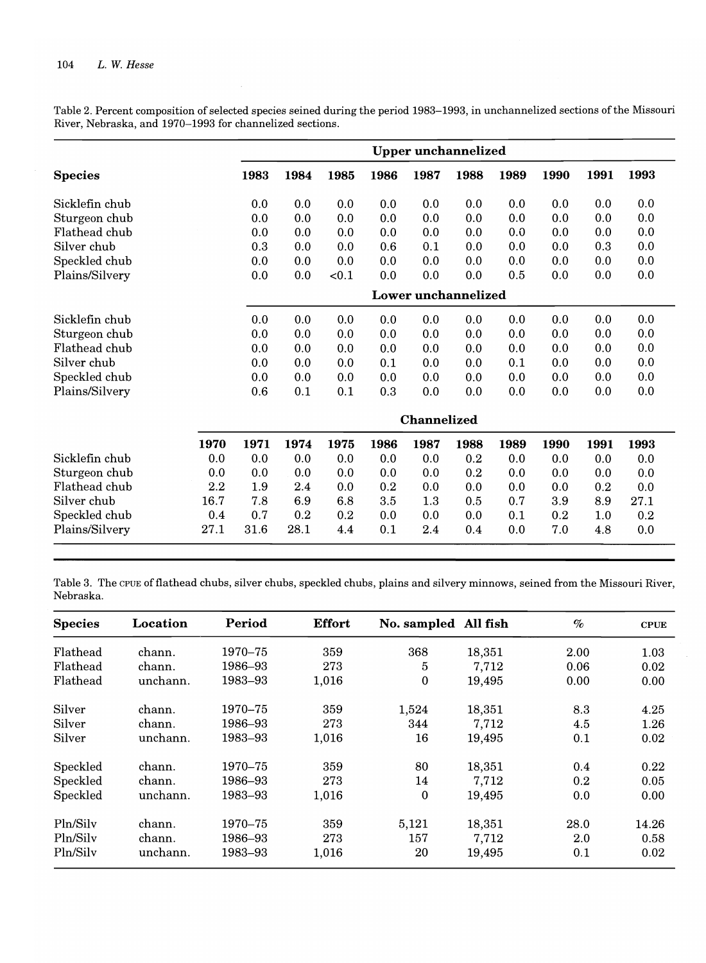Table 2. Percent composition of selected species seined during the period 1983-1993, in unchannelized sections of the Missouri River, Nebraska, and 1970-1993 for channelized sections.

|                |      |      |      |       |      |             | <b>Upper unchannelized</b> |      |      |      |      |  |
|----------------|------|------|------|-------|------|-------------|----------------------------|------|------|------|------|--|
| <b>Species</b> |      | 1983 | 1984 | 1985  | 1986 | 1987        | 1988                       | 1989 | 1990 | 1991 | 1993 |  |
| Sicklefin chub |      | 0.0  | 0.0  | 0.0   | 0.0  | 0.0         | 0.0                        | 0.0  | 0.0  | 0.0  | 0.0  |  |
| Sturgeon chub  |      | 0.0  | 0.0  | 0.0   | 0.0  | 0.0         | 0.0                        | 0.0  | 0.0  | 0.0  | 0.0  |  |
| Flathead chub  |      | 0.0  | 0.0  | 0.0   | 0.0  | 0.0         | 0.0                        | 0.0  | 0.0  | 0.0  | 0.0  |  |
| Silver chub    |      | 0.3  | 0.0  | 0.0   | 0.6  | 0.1         | 0.0                        | 0.0  | 0.0  | 0.3  | 0.0  |  |
| Speckled chub  |      | 0.0  | 0.0  | 0.0   | 0.0  | 0.0         | 0.0                        | 0.0  | 0.0  | 0.0  | 0.0  |  |
| Plains/Silvery |      | 0.0  | 0.0  | < 0.1 | 0.0  | 0.0         | 0.0                        | 0.5  | 0.0  | 0.0  | 0.0  |  |
|                |      |      |      |       |      |             | Lower unchannelized        |      |      |      |      |  |
| Sicklefin chub |      | 0.0  | 0.0  | 0.0   | 0.0  | 0.0         | 0.0                        | 0.0  | 0.0  | 0.0  | 0.0  |  |
| Sturgeon chub  |      | 0.0  | 0.0  | 0.0   | 0.0  | 0.0         | 0.0                        | 0.0  | 0.0  | 0.0  | 0.0  |  |
| Flathead chub  |      | 0.0  | 0.0  | 0.0   | 0.0  | 0.0         | 0.0                        | 0.0  | 0.0  | 0.0  | 0.0  |  |
| Silver chub    |      | 0.0  | 0.0  | 0.0   | 0.1  | 0.0         | 0.0                        | 0.1  | 0.0  | 0.0  | 0.0  |  |
| Speckled chub  |      | 0.0  | 0.0  | 0.0   | 0.0  | 0.0         | 0.0                        | 0.0  | 0.0  | 0.0  | 0.0  |  |
| Plains/Silvery |      | 0.6  | 0.1  | 0.1   | 0.3  | 0.0         | 0.0                        | 0.0  | 0.0  | 0.0  | 0.0  |  |
|                |      |      |      |       |      | Channelized |                            |      |      |      |      |  |
|                | 1970 | 1971 | 1974 | 1975  | 1986 | 1987        | 1988                       | 1989 | 1990 | 1991 | 1993 |  |
| Sicklefin chub | 0.0  | 0.0  | 0.0  | 0.0   | 0.0  | 0.0         | 0.2                        | 0.0  | 0.0  | 0.0  | 0.0  |  |
| Sturgeon chub  | 0.0  | 0.0  | 0.0  | 0.0   | 0.0  | 0.0         | 0.2                        | 0.0  | 0.0  | 0.0  | 0.0  |  |
| Flathead chub  | 2.2  | 1.9  | 2.4  | 0.0   | 0.2  | 0.0         | 0.0                        | 0.0  | 0.0  | 0.2  | 0.0  |  |
| Silver chub    | 16.7 | 7.8  | 6.9  | 6.8   | 3.5  | 1.3         | 0.5                        | 0.7  | 3.9  | 8.9  | 27.1 |  |
| Speckled chub  | 0.4  | 0.7  | 0.2  | 0.2   | 0.0  | 0.0         | 0.0                        | 0.1  | 0.2  | 1.0  | 0.2  |  |
| Plains/Silvery | 27.1 | 31.6 | 28.1 | 4.4   | 0.1  | $2.4\,$     | 0.4                        | 0.0  | 7.0  | 4.8  | 0.0  |  |

Table 3. The CPUE of flathead chubs, silver chubs, speckled chubs, plains and silvery minnows, seined from the Missouri River, Nebraska.

| <b>Species</b> | Location | Period  | <b>Effort</b> | No. sampled All fish |        | $\%$ | <b>CPUE</b> |
|----------------|----------|---------|---------------|----------------------|--------|------|-------------|
| Flathead       | chann.   | 1970–75 | 359           | 368                  | 18,351 | 2.00 | 1.03        |
| Flathead       | chann.   | 1986–93 | 273           | 5                    | 7,712  | 0.06 | 0.02        |
| Flathead       | unchann. | 1983-93 | 1,016         | $\mathbf 0$          | 19,495 | 0.00 | 0.00        |
| Silver         | chann.   | 1970–75 | 359           | 1,524                | 18,351 | 8.3  | 4.25        |
| Silver         | chann.   | 1986–93 | 273           | 344                  | 7,712  | 4.5  | 1.26        |
| Silver         | unchann. | 1983-93 | 1,016         | 16                   | 19,495 | 0.1  | 0.02        |
| Speckled       | chann.   | 1970–75 | 359           | 80                   | 18,351 | 0.4  | 0.22        |
| Speckled       | chann.   | 1986-93 | 273           | 14                   | 7,712  | 0.2  | 0.05        |
| Speckled       | unchann. | 1983–93 | 1,016         | $\mathbf{0}$         | 19,495 | 0.0  | 0.00        |
| Pln/Silv       | chann.   | 1970–75 | 359           | 5,121                | 18,351 | 28.0 | 14.26       |
| Pln/Silv       | chann.   | 1986–93 | 273           | 157                  | 7,712  | 2.0  | 0.58        |
| Pln/Silv       | unchann. | 1983-93 | 1,016         | 20                   | 19,495 | 0.1  | 0.02        |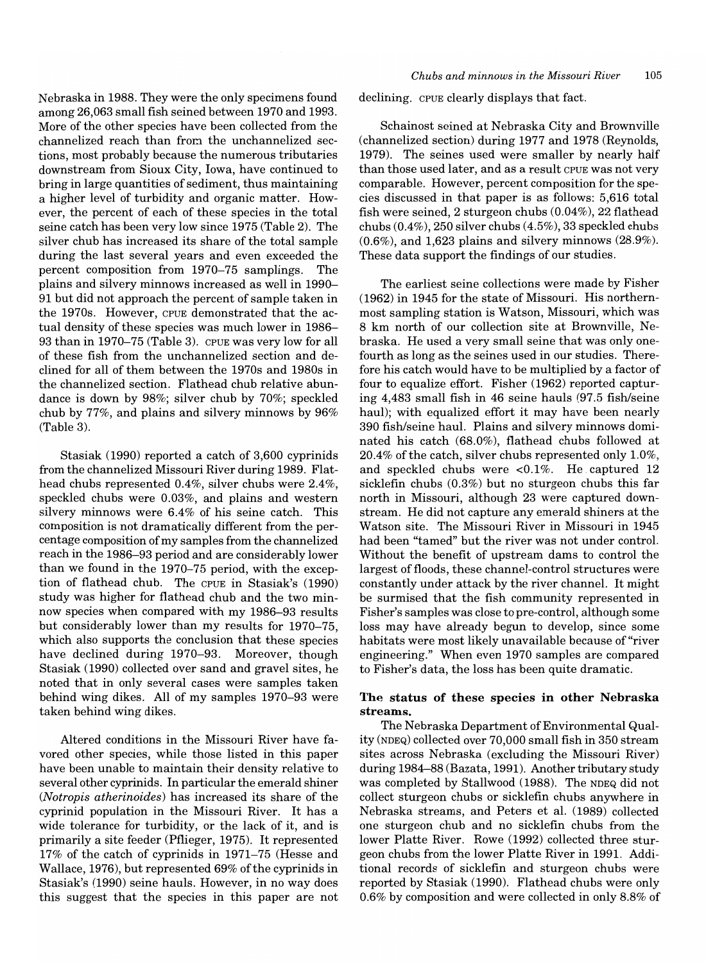Nebraska in 1988. They were the only specimens found among 26,063 small fish seined between 1970 and 1993. More of the other species have been collected from the channelized reach than fron the unchannelized sections, most probably because the numerous tributaries downstream from Sioux City, Iowa, have continued to bring in large quantities of sediment, thus maintaining a higher level of turbidity and organic matter. However, the percent of each of these species in the total seine catch has been very low since 1975 (Table 2). The silver chub has increased its share of the total sample during the last several years and even exceeded the percent composition from 1970-75 samplings. The plains and silvery minnows increased as well in 1990- 91 but did not approach the percent of sample taken in the 1970s. However, CPUE demonstrated that the actual density of these species was much lower in 1986- 93 than in 1970-75 (Table 3). CPUE was very low for all of these fish from the unchannelized section and declined for all of them between the 1970s and 1980s in the channelized section. Flathead chub relative abundance is down by 98%; silver chub by 70%; speckled chub by 77%, and plains and silvery minnows by 96% (Table 3).

Stasiak (1990) reported a catch of 3,600 cyprinids from the channelized Missouri River during 1989. Flathead chubs represented 0.4%, silver chubs were 2.4%, speckled chubs were 0.03%, and plains and western silvery minnows were 6.4% of his seine catch. This composition is not dramatically different from the percentage composition of my samples from the channelized reach in the 1986-93 period and are considerably lower than we found in the 1970-75 period, with the exception of flathead chub. The CPUE in Stasiak's (1990) study was higher for flathead chub and the two minnow species when compared with my 1986-93 results but considerably lower than my results for 1970-75, which also supports the conclusion that these species have declined during 1970-93. Moreover, though Stasiak (1990) collected over sand and gravel sites, he noted that in only several cases were samples taken behind wing dikes. All of my samples 1970-93 were taken behind wing dikes.

Altered conditions in the Missouri River have favored other species, while those listed in this paper have been unable to maintain their density relative to several other cyprinids. In particular the emerald shiner *(Notropis atherinoides)* has increased its share of the cyprinid population in the Missouri River. It has a wide tolerance for turbidity, or the lack of it, and is primarily a site feeder (Pflieger, 1975). It represented 17% of the catch of cyprinids in 1971-75 (Hesse and Wallace, 1976), but represented 69% of the cyprinids in Stasiak's (1990) seine hauls. However, in no way does this suggest that the species in this paper are not declining. CPUE clearly displays that fact.

Schainost seined at Nebraska City and Brownville (channelized section) during 1977 and 1978 (Reynolds, 1979). The seines used were smaller by nearly half than those used later, and as a result CPUE was not very comparable. However, percent composition for the species discussed in that paper is as follows: 5,616 total fish were seined, 2 sturgeon chubs (0.04%), 22 flathead chubs (0.4%), 250 silver chubs (4.5%), 33 speckled chubs (0.6%), and 1,623 plains and silvery minnows (28.9%). These data support the findings of our studies.

The earliest seine collections were made by Fisher (1962) in 1945 for the state of Missouri. His northernmost sampling station is Watson, Missouri, which was 8 km north of our collection site at Brownville, Nebraska. He used a very small seine that was only onefourth as long as the seines used in our studies. Therefore his catch would have to be multiplied by a factor of four to equalize effort. Fisher (1962) reported capturing 4,483 small fish in 46 seine hauls (97.5 fish/seine haul); with equalized effort it may have been nearly 390 fish/seine haul. Plains and silvery minnows dominated his catch (68.0%), flathead chubs followed at  $20.4\%$  of the catch, silver chubs represented only 1.0%, and speckled chubs were <0.1%. He captured 12 sicklefin chubs (0.3%) but no sturgeon chubs this far north in Missouri, although 23 were captured downstream. He did not capture any emerald shiners at the Watson site. The Missouri River in Missouri in 1945 had been "tamed" but the river was not under control. Without the benefit of upstream dams to control the largest of floods, these channel-control structures were constantly under attack by the river channel. It might be surmised that the fish community represented in Fisher's samples was close to pre-control, although some loss may have already begun to develop, since some habitats were most likely unavailable because of "river engineering." When even 1970 samples are compared to Fisher's data, the loss has been quite dramatic.

# The status of these species in other Nebraska streams.

The Nebraska Department of Environmental Quality (NDEQ) collected over 70,000 small fish in 350 stream sites across Nebraska (excluding the Missouri River) during 1984-88 (Bazata, 1991). Another tributary study was completed by Stallwood (1988). The NDEQ did not collect sturgeon chubs or sicklefin chubs anywhere in Nebraska streams, and Peters et al. (1989) collected one sturgeon chub and no sicklefin chubs from the lower Platte River. Rowe (1992) collected three sturgeon chubs from the lower Platte River in 1991. Additional records of sicklefin and sturgeon chubs were reported by Stasiak (1990). Flathead chubs were only 0.6% by composition and were collected in only 8.8% of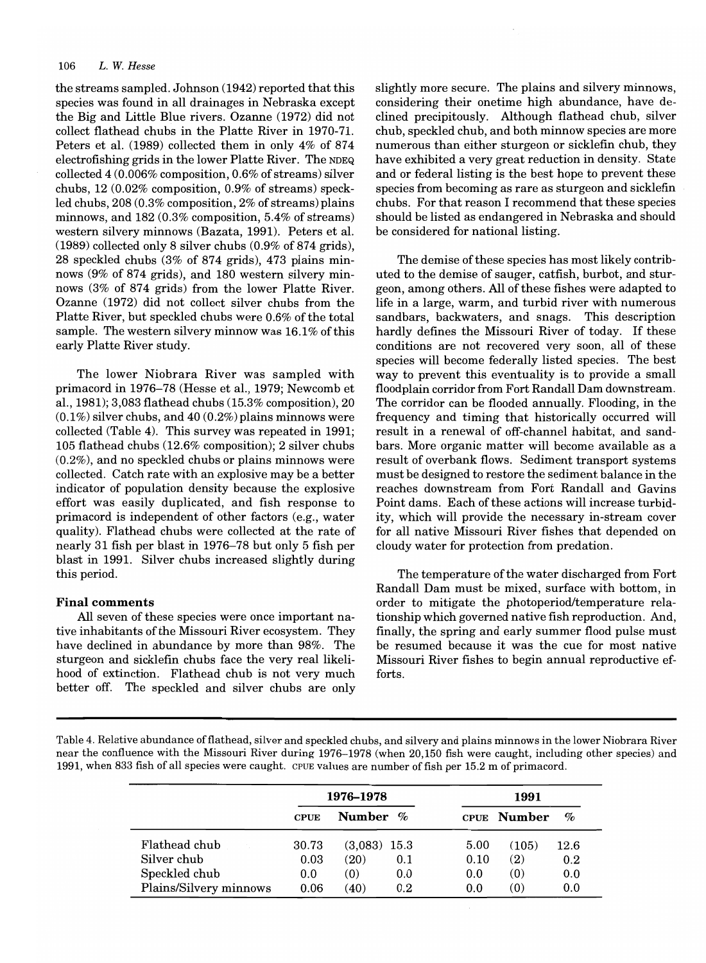#### *106 L.* W. *Hesse*

the streams sampled. Johnson (1942) reported that this species was found in all drainages in Nebraska except the Big and Little Blue rivers. Ozanne (1972) did not collect flathead chubs in the Platte River in 1970-71. Peters et aI. (1989) collected them in only 4% of 874 electrofishing grids in the lower Platte River. The NDEQ collected 4 (0.006% composition, 0.6% of streams) silver chubs, 12 (0.02% composition, 0.9% of streams) speckled chubs, 208 (0.3% composition, 2% of streams) plains minnows, and 182 (0.3% composition, 5.4% of streams) western silvery minnows (Bazata, 1991). Peters et aI. (1989) collected only 8 silver chubs (0.9% of 874 grids), 28 speckled chubs (3% of 874 grids), 473 plains minnows (9% of 874 grids), and 180 western silvery minnows (3% of 874 grids) from the lower Platte River. Ozanne (1972) did not collect silver chubs from the Platte River, but speckled chubs were 0.6% of the total sample. The western silvery minnow was 16.1% of this early Platte River study.

The lower Niobrara River was sampled with primacord in 1976-78 (Hesse et aI., 1979; Newcomb et aI., 1981); 3,083 flathead chubs (15.3% composition), 20  $(0.1\%)$  silver chubs, and 40  $(0.2\%)$  plains minnows were collected (Table 4). This survey was repeated in 1991; 105 flathead chubs (12.6% composition); 2 silver chubs (0.2%), and no speckled chubs or plains minnows were collected. Catch rate with an explosive may be a better indicator of population density because the explosive effort was easily duplicated, and fish response to primacord is independent of other factors (e.g., water quality). Flathead chubs were collected at the rate of nearly 31 fish per blast in 1976-78 but only 5 fish per blast in 1991. Silver chubs increased slightly during this period.

#### **Final** comments

All seven of these species were once important native inhabitants of the Missouri River ecosystem. They have declined in abundance by more than 98%. The sturgeon and sicklefin chubs face the very real likelihood of extinction. Flathead chub is not very much better off. The speckled and silver chubs are only slightly more secure. The plains and silvery minnows, considering their onetime high abundance, have declined precipitously. Although flathead chub, silver chub, speckled chub, and both minnow species are more numerous than either sturgeon or sicklefin chub, they have exhibited a very great reduction in density. State and or federal listing is the best hope to prevent these species from becoming as rare as sturgeon and sicklefin chubs. For that reason I recommend that these species should be listed as endangered in Nebraska and should be considered for national listing.

The demise of these species has most likely contributed to the demise of sauger, catfish, burbot, and sturgeon, among others. All of these fishes were adapted to life in a large, warm, and turbid river with numerous sandbars, backwaters, and snags. This description hardly defines the Missouri River of today. If these conditions are not recovered very soon, all of these species will become federally listed species. The best way to prevent this eventuality is to provide a small floodplain corridor from Fort Randall Dam downstream. The corridor can be flooded annually. Flooding, in the frequency and timing that historically occurred will result in a renewal of off-channel habitat, and sandbars. More organic matter will become available as a result of overbank flows. Sediment transport systems must be designed to restore the sediment balance in the reaches downstream from Fort Randall and Gavins Point dams. Each of these actions will increase turbidity, which will provide the necessary in-stream cover for all native Missouri River fishes that depended on cloudy water for protection from predation.

The temperature of the water discharged from Fort Randall Dam must be mixed, surface with bottom, in order to mitigate the photoperiod/temperature relationship which governed native fish reproduction. And, finally, the spring and early summer flood pulse must be resumed because it was the cue for most native Missouri River fishes to begin annual reproductive efforts.

Table 4. Relative abundance offlathead, silver and speckled chubs, and silvery and plains minnows in the lower Niobrara River near the confluence with the Missouri River during 1976–1978 (when 20,150 fish were caught, including other species) and 1991, when 833 fish of all species were caught. CPUE values are number of fish per 15.2 m of primacord.

|                        | 1976–1978   |                |         | 1991 |             |      |  |
|------------------------|-------------|----------------|---------|------|-------------|------|--|
|                        | <b>CPUE</b> | Number %       |         |      | CPUE Number | $\%$ |  |
| Flathead chub          | 30.73       | $(3,083)$ 15.3 |         | 5.00 | (105)       | 12.6 |  |
| Silver chub            | 0.03        | (20)           | 0.1     | 0.10 | (2)         | 0.2  |  |
| Speckled chub          | 0.0         | (0)            | 0.0     | 0.0  | (0)         | 0.0  |  |
| Plains/Silvery minnows | 0.06        | (40)           | $0.2\,$ | 0.0  | (0)         | 0.0  |  |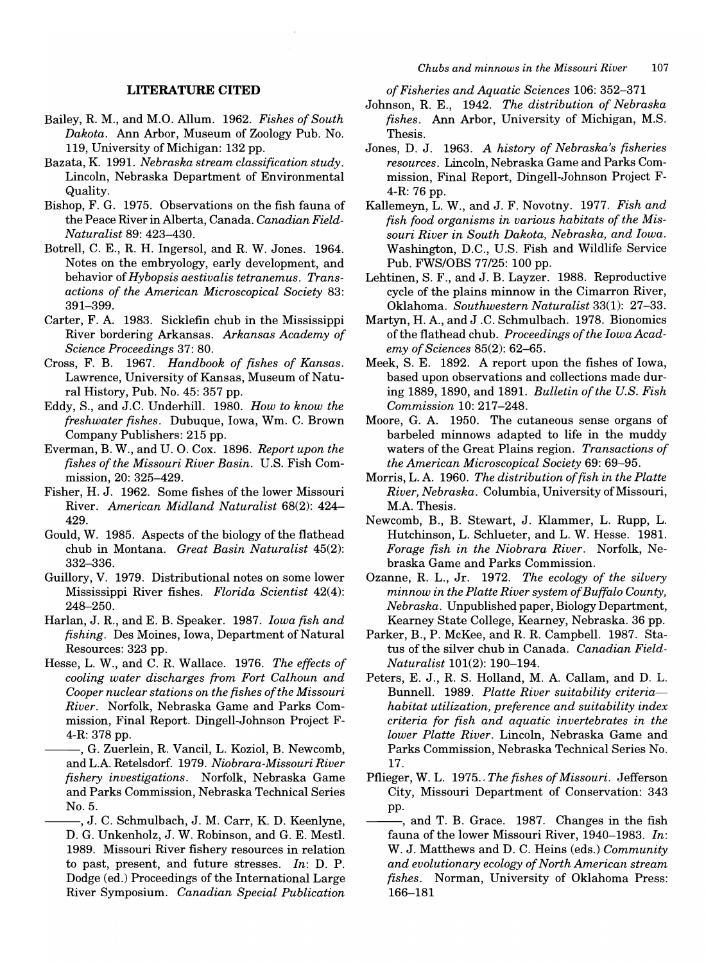#### **LITERATURE CITED**

- Bailey, R. M., and M.O. Allum. 1962. *Fishes of South Dakota.* Ann Arbor, Museum of Zoology Pub. No. 119, University of Michigan: 132 pp.
- Bazata, K. 1991. *Nebraska stream classification study.*  Lincoln, Nebraska Department of Environmental Quality.
- Bishop, F. G. 1975. Observations on the fish fauna of the Peace River in Alberta, Canada. *Canadian Field-Naturalist* 89: 423-430.
- Botrell, C. E., R. H. Ingersol, and R. W. Jones. 1964. Notes on the embryology, early development, and behavior of *Hybopsis aestivalis tetranemus. Transactions of the American Microscopical Society 83:*  391-399.
- Carter, F. A. 1983. Sicklefm chub in the Mississippi River bordering Arkansas. *Arkansas Academy of Science Proceedings* 37: 80.
- Cross, F. B. 1967. *Handbook of fishes of Kansas.*  Lawrence, University of Kansas, Museum of Natural History, Pub. No. 45: 357 pp.
- Eddy, S., and J.C. Underhill. 1980. *How to know the freshwater fishes.* Dubuque, Iowa, Wm. C. Brown Company Publishers: 215 pp.
- Everman, B. W., and U. O. Cox. 1896. *Report upon the fishes of the Missouri River Basin.* U.S. Fish Commission, 20: 325–429.
- Fisher, H. J. 1962. Some fishes of the lower Missouri River. *American Midland Naturalist* 68(2): 424- 429.
- Gould, W. 1985. Aspects of the biology of the flathead chub in Montana. *Great Basin Naturalist* 45(2): 332-336.
- Guillory, V. 1979. Distributional notes on some lower Mississippi River fishes. *Florida Scientist* 42(4): 248-250.
- Harlan, J. R., and E. B. Speaker. 1987. *Iowa fish and fishing.* Des Moines, Iowa, Department of Natural Resources: 323 pp.
- Hesse, L. W., and C. R. Wallace. 1976. *The effects of cooling water discharges from Fort Calhoun and Cooper nuclear stations on the fishes of the Missouri River.* Norfolk, Nebraska Game and Parks Commission, Final Report. Dingell-Johnson Project F-4-R: 378 pp.
	- -, G. Zuerlein, R. Vancil, L. Koziol, B. Newcomb, and L.A. Retelsdorf. 1979. *Niobrara-Missouri River fishery investigations.* Norfolk, Nebraska Game and Parks Commission, Nebraska Technical Series No.5.
		- --, J. C. Schmulbach, J. M. Carr, K. D. Keenlyne, D. G. Unkenholz, J. W. Robinson, and G. E. Mestl. 1989. Missouri River fishery resources in relation to past, present, and future stresses. *In:* D. P. Dodge (ed.) Proceedings of the International Large River Symposium. *Canadian Special Publication*

*of Fisheries and Aquatic Sciences* 106: 352-371

- Johnson, R. E., 1942. *The distribution of Nebraska fishes.* Ann Arbor, University of Michigan, M.S. Thesis.
- Jones, D. J. 1963. *A history of Nebraska's fisheries resources.* Lincoln, Nebraska Game and Parks Commission, Final Report, Dingell-Johnson Project F-4-R: 76 pp.
- Kallemeyn, L. W., and J. F. Novotny. 1977. *Fish and fish food organisms in various habitats of the Missouri River in South Dakota, Nebraska, and Iowa.*  Washington, D.C., U.S. Fish and Wildlife Service Pub. FWS/OBS 77/25: 100 pp.
- Lehtinen, S. F., and J. B. Layzer. 1988. Reproductive cycle of the plains minnow in the Cimarron River, Oklahoma. *Southwestern Naturalist* 33(1): 27-33.
- Martyn, H. A., and J .C. Schmulbach. 1978. Bionomics of the flathead chub. *Proceedings of the Iowa Academy of Sciences* 85(2): 62-65.
- Meek, S. E. 1892. A report upon the fishes of Iowa, based upon observations and collections made during 1889, 1890, and 1891. *Bulletin of the U.S. Fish Commission* 10: 217-248.
- Moore, G. A. 1950. The cutaneous sense organs of barbeled minnows adapted to life in the muddy waters of the Great Plains region. *Transactions of the American Microscopical Society* 69: 69-95.
- Morris, L. A. 1960. *The distribution offish in the Platte River, Nebraska.* Columbia, University of Missouri, M.A. Thesis.
- Newcomb, B., B. Stewart, J. Klammer, L. Rupp, L. Hutchinson, L. Schlueter, and L. W. Hesse. 1981. *Forage fish in the Niobrara River.* Norfolk, Nebraska Game and Parks Commission.
- Ozanne, R. L., Jr. 1972. *The ecology of the silvery minnow in the Platte River system of Buffalo County, Nebraska.* Unpublished paper, Biology Department, Kearney State College, Kearney, Nebraska. 36 pp.
- Parker, B., P. McKee, and R. R. Campbell. 1987. Status of the silver chub in Canada. *Canadian Field-Naturalist* 101(2): 190-194.
- Peters, E. J., R. S. Holland, M. A. Callam, and D. L. Bunnell. 1989. *Platte River suitability criteriahabitat utilization, preference and suitability index criteria for fish and aquatic invertebrates in the lower Platte River.* Lincoln, Nebraska Game and Parks Commission, Nebraska Technical Series No. 17.
- Pflieger, W. L. 1975 .. *The fishes of Missouri.* Jefferson City, Missouri Department of Conservation: 343 pp.
- -, and T. B. Grace. 1987. Changes in the fish fauna of the lower Missouri River, 1940-1983. *In:*  W. J. Matthews and D. C. Heins (eds.) *Community and evolutionary ecology of North American stream fishes.* Norman, University of Oklahoma Press: 166-181